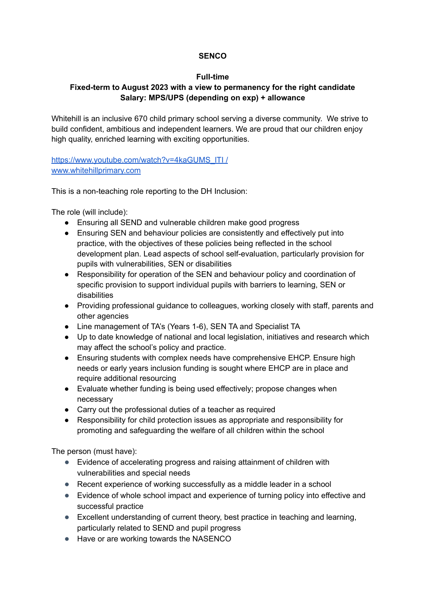## **SENCO**

## **Full-time**

## **Fixed-term to August 2023 with a view to permanency for the right candidate Salary: MPS/UPS (depending on exp) + allowance**

Whitehill is an inclusive 670 child primary school serving a diverse community. We strive to build confident, ambitious and independent learners. We are proud that our children enjoy high quality, enriched learning with exciting opportunities.

https://www.youtube.com/watch?v=4kaGUMS\_ITI / [www.whitehillprimary.com](http://www.whitehillprimary.com/)

This is a non-teaching role reporting to the DH Inclusion:

The role (will include):

- Ensuring all SEND and vulnerable children make good progress
- Ensuring SEN and behaviour policies are consistently and effectively put into practice, with the objectives of these policies being reflected in the school development plan. Lead aspects of school self-evaluation, particularly provision for pupils with vulnerabilities, SEN or disabilities
- Responsibility for operation of the SEN and behaviour policy and coordination of specific provision to support individual pupils with barriers to learning, SEN or disabilities
- Providing professional guidance to colleagues, working closely with staff, parents and other agencies
- Line management of TA's (Years 1-6), SEN TA and Specialist TA
- Up to date knowledge of national and local legislation, initiatives and research which may affect the school's policy and practice.
- Ensuring students with complex needs have comprehensive EHCP. Ensure high needs or early years inclusion funding is sought where EHCP are in place and require additional resourcing
- Evaluate whether funding is being used effectively; propose changes when necessary
- Carry out the professional duties of a teacher as required
- Responsibility for child protection issues as appropriate and responsibility for promoting and safeguarding the welfare of all children within the school

The person (must have):

- Evidence of accelerating progress and raising attainment of children with vulnerabilities and special needs
- Recent experience of working successfully as a middle leader in a school
- Evidence of whole school impact and experience of turning policy into effective and successful practice
- Excellent understanding of current theory, best practice in teaching and learning, particularly related to SEND and pupil progress
- Have or are working towards the NASENCO